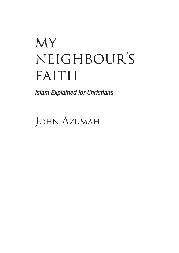# MY neighbour's FAITH

*Islam Explained for Christians*

JOHN AZUMAH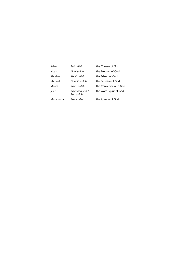| Adam     | Safi u-llah                    | the Chosen of God      |
|----------|--------------------------------|------------------------|
| Noah     | Nabi u-Ilah                    | the Prophet of God     |
| Abraham  | Khalil u-llah                  | the Friend of God      |
| Ishmael  | Dhabih u-llah                  | the Sacrifice of God   |
| Moses    | Kalim u-llah                   | the Converser with God |
| lesus    | Kalimat u-llah /<br>Ruh u-llah | the Word/Spirit of God |
| Muhammad | Rasul u-llah                   | the Apostle of God     |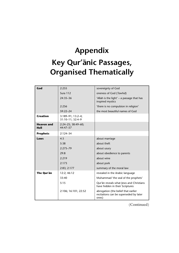## **Appendix Key Qur'ānic Passages, Organised Thematically**

| God                       | 2:255                                 | sovereignty of God                                                                     |
|---------------------------|---------------------------------------|----------------------------------------------------------------------------------------|
|                           | Sura 112                              | oneness of God (Tawhid)                                                                |
|                           | $24:35 - 36$                          | 'Allah is the light' - a passage that has<br>inspired mystics                          |
|                           | 2:256                                 | 'there is no compulsion in religion'                                                   |
|                           | $59:22 - 24$                          | the most beautiful names of God                                                        |
| <b>Creation</b>           | 3:189-91; 13:2-4;<br>31:10-11: 32:4-9 |                                                                                        |
| <b>Heaven and</b><br>Hell | 2:24-25; 38:49-60;<br>44:47-57        |                                                                                        |
| <b>Prophets</b>           | $2:124 - 34$                          |                                                                                        |
| Laws                      | 4:3                                   | about marriage                                                                         |
|                           | 5:38                                  | about theft                                                                            |
|                           | $2:275 - 79$                          | about usury                                                                            |
|                           | 29:8                                  | about obedience to parents                                                             |
|                           | 2:219                                 | about wine                                                                             |
|                           | 2:173                                 | about pork                                                                             |
|                           | 2:83; 2:177                           | summary of the moral law                                                               |
| The Qur'an                | 12:2; 46:12                           | revealed in the Arabic language                                                        |
|                           | 33:40                                 | Muhammad 'the seal of the prophets'                                                    |
|                           | 5:15                                  | Qur'ān reveals what Jews and Christians<br>have hidden in their Scriptures             |
|                           | 2:106; 16:101; 22:52                  | abrogation (the belief that earlier<br>recitations can be superseded by later<br>ones) |

(Continued)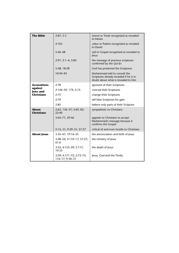| <b>The Bible</b>                                                      | 2:87;3:3                                    | tawrat or Torah recognised as revealed<br>to Moses                                                             |
|-----------------------------------------------------------------------|---------------------------------------------|----------------------------------------------------------------------------------------------------------------|
|                                                                       | 4:163                                       | zabur or Psalms recognised as revealed<br>to David                                                             |
|                                                                       | $5:46 - 48$                                 | injil or Gospel recognised as revealed to<br>lesus                                                             |
|                                                                       | 2:91; 3:1-4; 3:84                           | the message of previous scriptures<br>confirmed by the Qur'an                                                  |
|                                                                       | 5:48; 18:28                                 | God has protected the Scriptures                                                                               |
|                                                                       | 10:94-95                                    | Muhammad told to consult the<br>Scriptures already revealed if he is in<br>doubt about what is revealed to him |
| <b>Accusations</b><br>against<br><b>Jews</b> and<br><b>Christians</b> | 2:78                                        | ignorant of their Scriptures                                                                                   |
|                                                                       | 2:146-59, 174; 5:15                         | conceal their Scriptures                                                                                       |
|                                                                       | 2:75                                        | change their Scriptures                                                                                        |
|                                                                       | 2:79                                        | sell false Scriptures for gain                                                                                 |
|                                                                       | 2:85                                        | believe only parts of their Scripture                                                                          |
| <b>About</b><br><b>Christians</b>                                     | 2:62, 136-37; 5:69, 82;<br>22:40            | sympathetic to Christians                                                                                      |
|                                                                       | 3:64-71; 29:46                              | appeals to Christians to accept<br>Muhammad's message because it<br>confirms the Gospel                        |
|                                                                       | 5:14, 51; 9:29–31; 57:27                    | critical of and even hostile to Christians                                                                     |
| <b>About Jesus</b>                                                    | 3:35-47; 19:16-35                           | the annunciation and birth of Jesus                                                                            |
|                                                                       | 3:48-54; 5:110-17; 57:27;<br>61:6           | the ministry of Jesus                                                                                          |
|                                                                       | $3:55; 4:155 - 59; 5:117;$<br>19:33         | the death of Jesus                                                                                             |
|                                                                       | 3:59; 4:171-72; 5:72-75,<br>116-17; 9:30-31 | Jesus, God and the Trinity                                                                                     |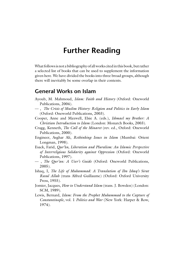### **Further Reading**

What follows is not a bibliography of all works cited in this book, but rather a selected list of books that can be used to supplement the information given here. We have divided the books into three broad groups, although there will inevitably be some overlap in their contents.

#### **General Works on Islam**

- Ayoub, M. Mahmoud, *Islam: Faith and History* (Oxford: Oneworld Publications, 2004).
- –– , *The Crisis of Muslim History: Religion and Politics in Early Islam* (Oxford: Oneworld Publications, 2003).
- Cooper, Anne and Maxwell, Elsie A. (eds.), *Ishmael my Brother: A Christian Introduction to Islam* (London: Monarch Books, 2003).
- Cragg, Kenneth, *The Call of the Minaret* (rev. ed., Oxford: Oneworld Publications, 2000).
- Engineer, Asghar Ali, *Rethinking Issues in Islam* (Mumbai: Orient Longman, 1998).
- Esack, Farid, *Our'an, Liberation and Pluralism: An Islamic Perspective of Interreligious Solidarity against Oppression* (Oxford: Oneworld Publications, 1997).
- –– , *The Qur'an: A User's Guide* (Oxford: Oneworld Publications, 2005).
- Ishaq, I, *The Life of Muhammad: A Translation of Ibn Ishaq's Sirat Rasul Allah* (trans Alfred Guillaume) (Oxford: Oxford University Press, 1955).
- Jomier, Jacques, *How to Understand Islam* (trans. J. Bowden) (London: SCM, 1989).
- Lewis, Bernard, *Islam: From the Prophet Muhammad to the Capture of Constantinople*, vol. 1 *Politics and War* (New York: Harper & Row, 1974).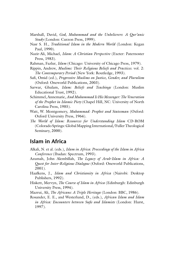- Marshall, David, *God, Muhammad and the Unbelievers*: *A Qur'anic Study* (London: Curzon Press, 1999).
- Nasr S. H., *Traditional Islam in the Modern World* (London: Kegan Paul, 1990).
- Nazir-Ali, Michael, *Islam: A Christian Perspective* (Exeter: Paternoster Press, 1983).
- Rahman, Fazlur, *Islam* (Chicago: University of Chicago Press, 1979).
- Rippin, Andrew, *Muslims: Their Religious Beliefs and Practices*. vol. 2: *The Contemporary Period* (New York: Routledge, 1993).
- Safi, Omid (ed.), *Progressive Muslims on Justice*, *Gender*, and *Pluralism* (Oxford: Oneworld Publications, 2003).
- Sarwar, Ghulam, *Islam: Beliefs and Teachings* (London: Muslim Educational Trust, 1992).
- Schimmel, Annemarie, *And Muhammad Is His Messenger: The Veneration of the Prophet in Islamic Piety* (Chapel Hill, NC: University of North Carolina Press, 1985).
- Watt, W. Montgomery, *Muhammad: Prophet and Statesman* (Oxford: Oxford University Press, 1964).
- *The World of Islam: Resources for Understanding Islam* CD-ROM (Colorado Springs: Global Mapping International/Fuller Theological Seminary, 2000).

#### **Islam in Africa**

- Alkali, N. et al. (eds.), *Islam in Africa: Proceedings of the Islam in Africa Conference* (Ibadan: Spectrum, 1993).
- Azumah, John Alembillah, *The Legacy of Arab-Islam in Africa: A Quest for Inter-Religious Dialogue* (Oxford: Oneworld Publications, 2001).
- Haafkens, J., *Islam and Christianity in Africa* (Nairobi: Desktop Publishers, 1992).
- Hiskett, Mervyn, *The Course of Islam in Africa* (Edinburgh: Edinburgh University Press, 1994).
- Mazrui, Ali, *The Africans: A Triple Heritage* (London: BBC, 1986).
- Rosander, E. E., and Westerlund, D., (eds.), *African Islam and Islam in Africa: Encounters between Sufis and Islamists* (London: Hurst, 1997).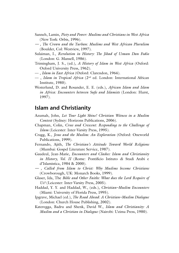- Sanneh, Lamin, *Piety and Power: Muslims and Christians in West Africa* (New York: Orbis, 1996).
- *–– , The Crown and the Turban: Muslims and West African Pluralism* (Boulder, Col: Westview, 1997).
- Sulaiman, I., *Revolution in History: The Jihad of Usman Dan Fodio*  (London: G. Mansell, 1986).
- Trimingham, J. S., (ed.), *A History of Islam in West Africa* (Oxford: Oxford University Press, 1962).
- –– , *Islam in East Africa* (Oxford: Clarendon, 1964).
- –– , *Islam in Tropical Africa* (2nd ed. London: International African Institute, 1980).
- Westerlund, D. and Rosander, E. E. (eds.), *African Islam and Islam in Africa: Encounters between Sufi s and Islamists* (London: Hurst, 1997).

#### **Islam and Christianity**

- Azumah, John, *Let Your Light Shine! Christian Witness in a Muslim Context* (Sydney: Horizons Publications, 2006).
- Chapman, Colin, *Cross and Crescent: Responding to the Challenge of Islam* (Leicester: Inter-Varsity Press, 1995).
- Cragg, K., *Jesus and the Muslim: An Exploration* (Oxford: Oneworld Publications, 1999).
- Fernando, Ajith, *The Christian's Attitude Toward World Religions* (Mumbai: Gospel Literature Service, 1987).
- Gaudeul, Jean-Marie, *Encounters and Clashes: Islam and Christianity in History, Vol. II* (Rome: Pontificio Istituto di Studi Arabi e d'Islamistica, 1984 & 2000).
- *–– , Called from Islam to Christ: Why Muslims become Christians* (Crowborough, UK: Monarch Books, 1999).
- Glaser, Ida, The *Bible and Other Faiths: What does the Lord Require of Us?* (Leicester: Inter-Varsity Press, 2005).
- Haddad, Y. Y. and Haddad, W., (eds.), *Christian–Muslim Encounters* (Miami: University of Florida Press, 1995).
- Ipgrave, Michael (ed.), *The Road Ahead: A Christian–Muslim Dialogue* (London: Church House Publishing, 2002).
- Kateregga, Badru and Shenk, David W., *Islam and Christianity: A Muslim and a Christian in Dialogue* (Nairobi: Uzima Press, 1980).